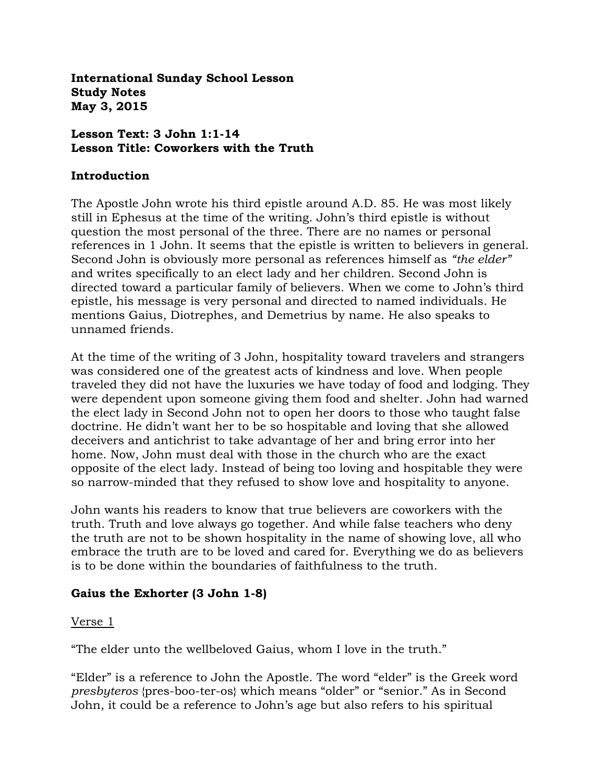**International Sunday School Lesson Study Notes May 3, 2015**

### **Lesson Text: 3 John 1:1-14 Lesson Title: Coworkers with the Truth**

### **Introduction**

The Apostle John wrote his third epistle around A.D. 85. He was most likely still in Ephesus at the time of the writing. John's third epistle is without question the most personal of the three. There are no names or personal references in 1 John. It seems that the epistle is written to believers in general. Second John is obviously more personal as references himself as *"the elder"* and writes specifically to an elect lady and her children. Second John is directed toward a particular family of believers. When we come to John's third epistle, his message is very personal and directed to named individuals. He mentions Gaius, Diotrephes, and Demetrius by name. He also speaks to unnamed friends.

At the time of the writing of 3 John, hospitality toward travelers and strangers was considered one of the greatest acts of kindness and love. When people traveled they did not have the luxuries we have today of food and lodging. They were dependent upon someone giving them food and shelter. John had warned the elect lady in Second John not to open her doors to those who taught false doctrine. He didn't want her to be so hospitable and loving that she allowed deceivers and antichrist to take advantage of her and bring error into her home. Now, John must deal with those in the church who are the exact opposite of the elect lady. Instead of being too loving and hospitable they were so narrow-minded that they refused to show love and hospitality to anyone.

John wants his readers to know that true believers are coworkers with the truth. Truth and love always go together. And while false teachers who deny the truth are not to be shown hospitality in the name of showing love, all who embrace the truth are to be loved and cared for. Everything we do as believers is to be done within the boundaries of faithfulness to the truth.

# **Gaius the Exhorter (3 John 1-8)**

Verse 1

"The elder unto the wellbeloved Gaius, whom I love in the truth."

"Elder" is a reference to John the Apostle. The word "elder" is the Greek word *presbyteros* {pres-boo-ter-os} which means "older" or "senior." As in Second John, it could be a reference to John's age but also refers to his spiritual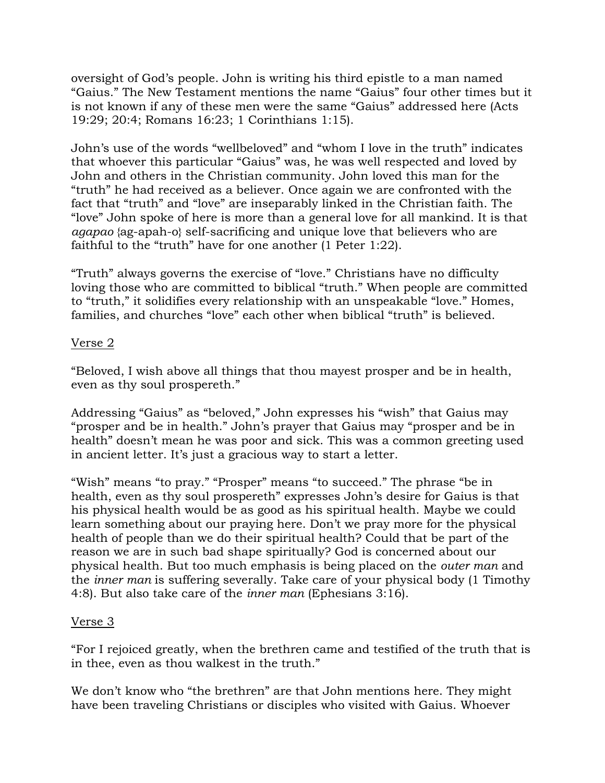oversight of God's people. John is writing his third epistle to a man named "Gaius." The New Testament mentions the name "Gaius" four other times but it is not known if any of these men were the same "Gaius" addressed here (Acts 19:29; 20:4; Romans 16:23; 1 Corinthians 1:15).

John's use of the words "wellbeloved" and "whom I love in the truth" indicates that whoever this particular "Gaius" was, he was well respected and loved by John and others in the Christian community. John loved this man for the "truth" he had received as a believer. Once again we are confronted with the fact that "truth" and "love" are inseparably linked in the Christian faith. The "love" John spoke of here is more than a general love for all mankind. It is that *agapao* {ag-apah-o} self-sacrificing and unique love that believers who are faithful to the "truth" have for one another (1 Peter 1:22).

"Truth" always governs the exercise of "love." Christians have no difficulty loving those who are committed to biblical "truth." When people are committed to "truth," it solidifies every relationship with an unspeakable "love." Homes, families, and churches "love" each other when biblical "truth" is believed.

## Verse 2

"Beloved, I wish above all things that thou mayest prosper and be in health, even as thy soul prospereth."

Addressing "Gaius" as "beloved," John expresses his "wish" that Gaius may "prosper and be in health." John's prayer that Gaius may "prosper and be in health" doesn't mean he was poor and sick. This was a common greeting used in ancient letter. It's just a gracious way to start a letter.

"Wish" means "to pray." "Prosper" means "to succeed." The phrase "be in health, even as thy soul prospereth" expresses John's desire for Gaius is that his physical health would be as good as his spiritual health. Maybe we could learn something about our praying here. Don't we pray more for the physical health of people than we do their spiritual health? Could that be part of the reason we are in such bad shape spiritually? God is concerned about our physical health. But too much emphasis is being placed on the *outer man* and the *inner man* is suffering severally. Take care of your physical body (1 Timothy 4:8). But also take care of the *inner man* (Ephesians 3:16).

### Verse 3

"For I rejoiced greatly, when the brethren came and testified of the truth that is in thee, even as thou walkest in the truth."

We don't know who "the brethren" are that John mentions here. They might have been traveling Christians or disciples who visited with Gaius. Whoever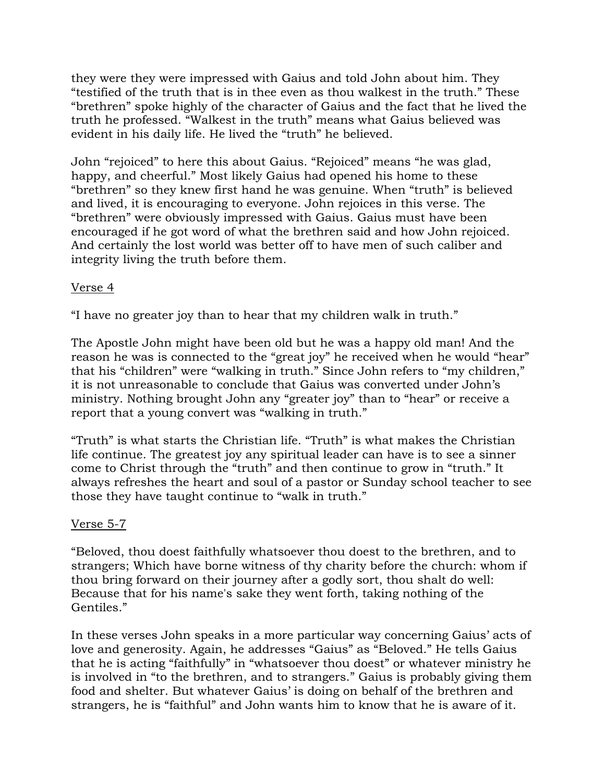they were they were impressed with Gaius and told John about him. They "testified of the truth that is in thee even as thou walkest in the truth." These "brethren" spoke highly of the character of Gaius and the fact that he lived the truth he professed. "Walkest in the truth" means what Gaius believed was evident in his daily life. He lived the "truth" he believed.

John "rejoiced" to here this about Gaius. "Rejoiced" means "he was glad, happy, and cheerful." Most likely Gaius had opened his home to these "brethren" so they knew first hand he was genuine. When "truth" is believed and lived, it is encouraging to everyone. John rejoices in this verse. The "brethren" were obviously impressed with Gaius. Gaius must have been encouraged if he got word of what the brethren said and how John rejoiced. And certainly the lost world was better off to have men of such caliber and integrity living the truth before them.

# Verse 4

"I have no greater joy than to hear that my children walk in truth."

The Apostle John might have been old but he was a happy old man! And the reason he was is connected to the "great joy" he received when he would "hear" that his "children" were "walking in truth." Since John refers to "my children," it is not unreasonable to conclude that Gaius was converted under John's ministry. Nothing brought John any "greater joy" than to "hear" or receive a report that a young convert was "walking in truth."

"Truth" is what starts the Christian life. "Truth" is what makes the Christian life continue. The greatest joy any spiritual leader can have is to see a sinner come to Christ through the "truth" and then continue to grow in "truth." It always refreshes the heart and soul of a pastor or Sunday school teacher to see those they have taught continue to "walk in truth."

### Verse 5-7

"Beloved, thou doest faithfully whatsoever thou doest to the brethren, and to strangers; Which have borne witness of thy charity before the church: whom if thou bring forward on their journey after a godly sort, thou shalt do well: Because that for his name's sake they went forth, taking nothing of the Gentiles."

In these verses John speaks in a more particular way concerning Gaius' acts of love and generosity. Again, he addresses "Gaius" as "Beloved." He tells Gaius that he is acting "faithfully" in "whatsoever thou doest" or whatever ministry he is involved in "to the brethren, and to strangers." Gaius is probably giving them food and shelter. But whatever Gaius' is doing on behalf of the brethren and strangers, he is "faithful" and John wants him to know that he is aware of it.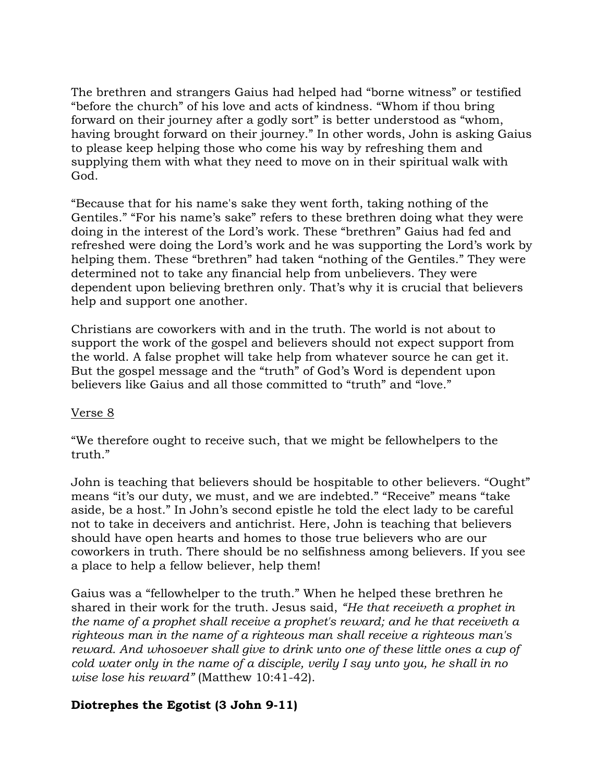The brethren and strangers Gaius had helped had "borne witness" or testified "before the church" of his love and acts of kindness. "Whom if thou bring forward on their journey after a godly sort" is better understood as "whom, having brought forward on their journey." In other words, John is asking Gaius to please keep helping those who come his way by refreshing them and supplying them with what they need to move on in their spiritual walk with God.

"Because that for his name's sake they went forth, taking nothing of the Gentiles." "For his name's sake" refers to these brethren doing what they were doing in the interest of the Lord's work. These "brethren" Gaius had fed and refreshed were doing the Lord's work and he was supporting the Lord's work by helping them. These "brethren" had taken "nothing of the Gentiles." They were determined not to take any financial help from unbelievers. They were dependent upon believing brethren only. That's why it is crucial that believers help and support one another.

Christians are coworkers with and in the truth. The world is not about to support the work of the gospel and believers should not expect support from the world. A false prophet will take help from whatever source he can get it. But the gospel message and the "truth" of God's Word is dependent upon believers like Gaius and all those committed to "truth" and "love."

### Verse 8

"We therefore ought to receive such, that we might be fellowhelpers to the truth."

John is teaching that believers should be hospitable to other believers. "Ought" means "it's our duty, we must, and we are indebted." "Receive" means "take aside, be a host." In John's second epistle he told the elect lady to be careful not to take in deceivers and antichrist. Here, John is teaching that believers should have open hearts and homes to those true believers who are our coworkers in truth. There should be no selfishness among believers. If you see a place to help a fellow believer, help them!

Gaius was a "fellowhelper to the truth." When he helped these brethren he shared in their work for the truth. Jesus said, *"He that receiveth a prophet in the name of a prophet shall receive a prophet's reward; and he that receiveth a righteous man in the name of a righteous man shall receive a righteous man's reward. And whosoever shall give to drink unto one of these little ones a cup of cold water only in the name of a disciple, verily I say unto you, he shall in no wise lose his reward"* (Matthew 10:41-42).

### **Diotrephes the Egotist (3 John 9-11)**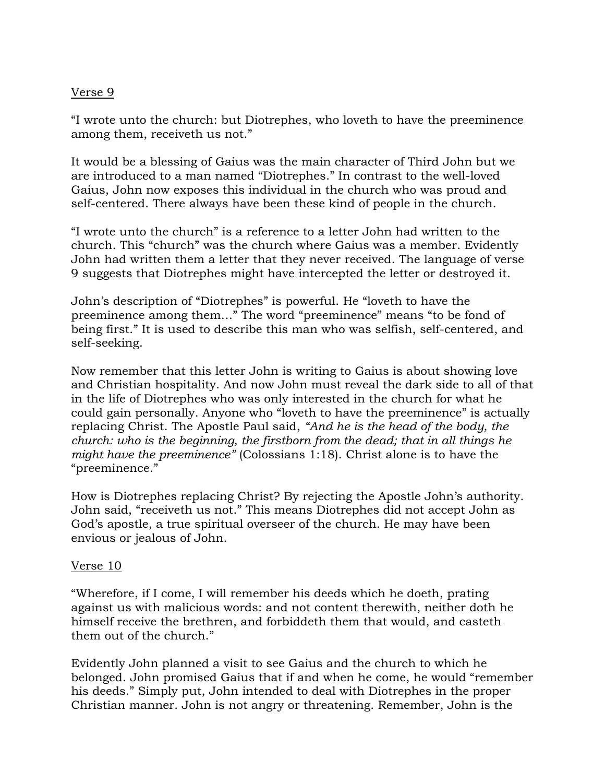### Verse 9

"I wrote unto the church: but Diotrephes, who loveth to have the preeminence among them, receiveth us not."

It would be a blessing of Gaius was the main character of Third John but we are introduced to a man named "Diotrephes." In contrast to the well-loved Gaius, John now exposes this individual in the church who was proud and self-centered. There always have been these kind of people in the church.

"I wrote unto the church" is a reference to a letter John had written to the church. This "church" was the church where Gaius was a member. Evidently John had written them a letter that they never received. The language of verse 9 suggests that Diotrephes might have intercepted the letter or destroyed it.

John's description of "Diotrephes" is powerful. He "loveth to have the preeminence among them…" The word "preeminence" means "to be fond of being first." It is used to describe this man who was selfish, self-centered, and self-seeking.

Now remember that this letter John is writing to Gaius is about showing love and Christian hospitality. And now John must reveal the dark side to all of that in the life of Diotrephes who was only interested in the church for what he could gain personally. Anyone who "loveth to have the preeminence" is actually replacing Christ. The Apostle Paul said, *"And he is the head of the body, the church: who is the beginning, the firstborn from the dead; that in all things he might have the preeminence"* (Colossians 1:18). Christ alone is to have the "preeminence."

How is Diotrephes replacing Christ? By rejecting the Apostle John's authority. John said, "receiveth us not." This means Diotrephes did not accept John as God's apostle, a true spiritual overseer of the church. He may have been envious or jealous of John.

### Verse 10

"Wherefore, if I come, I will remember his deeds which he doeth, prating against us with malicious words: and not content therewith, neither doth he himself receive the brethren, and forbiddeth them that would, and casteth them out of the church."

Evidently John planned a visit to see Gaius and the church to which he belonged. John promised Gaius that if and when he come, he would "remember his deeds." Simply put, John intended to deal with Diotrephes in the proper Christian manner. John is not angry or threatening. Remember, John is the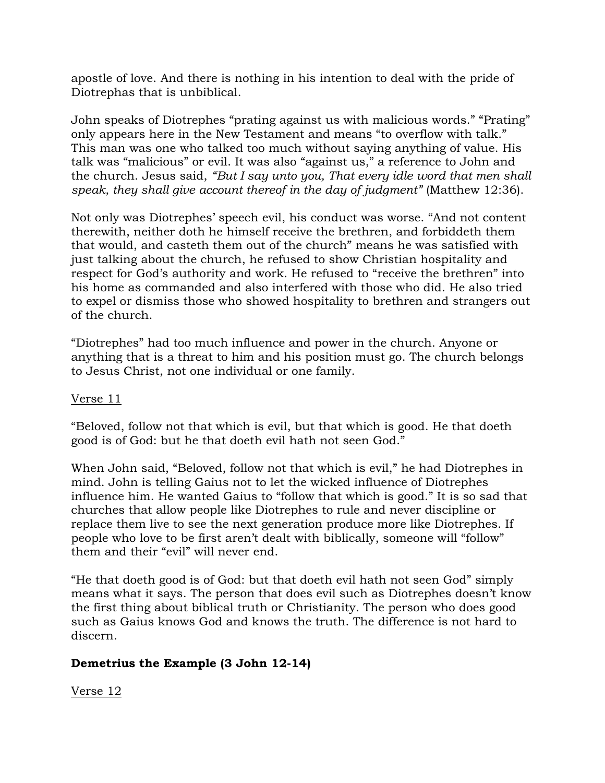apostle of love. And there is nothing in his intention to deal with the pride of Diotrephas that is unbiblical.

John speaks of Diotrephes "prating against us with malicious words." "Prating" only appears here in the New Testament and means "to overflow with talk." This man was one who talked too much without saying anything of value. His talk was "malicious" or evil. It was also "against us," a reference to John and the church. Jesus said, *"But I say unto you, That every idle word that men shall speak, they shall give account thereof in the day of judgment"* (Matthew 12:36).

Not only was Diotrephes' speech evil, his conduct was worse. "And not content therewith, neither doth he himself receive the brethren, and forbiddeth them that would, and casteth them out of the church" means he was satisfied with just talking about the church, he refused to show Christian hospitality and respect for God's authority and work. He refused to "receive the brethren" into his home as commanded and also interfered with those who did. He also tried to expel or dismiss those who showed hospitality to brethren and strangers out of the church.

"Diotrephes" had too much influence and power in the church. Anyone or anything that is a threat to him and his position must go. The church belongs to Jesus Christ, not one individual or one family.

### Verse 11

"Beloved, follow not that which is evil, but that which is good. He that doeth good is of God: but he that doeth evil hath not seen God."

When John said, "Beloved, follow not that which is evil," he had Diotrephes in mind. John is telling Gaius not to let the wicked influence of Diotrephes influence him. He wanted Gaius to "follow that which is good." It is so sad that churches that allow people like Diotrephes to rule and never discipline or replace them live to see the next generation produce more like Diotrephes. If people who love to be first aren't dealt with biblically, someone will "follow" them and their "evil" will never end.

"He that doeth good is of God: but that doeth evil hath not seen God" simply means what it says. The person that does evil such as Diotrephes doesn't know the first thing about biblical truth or Christianity. The person who does good such as Gaius knows God and knows the truth. The difference is not hard to discern.

# **Demetrius the Example (3 John 12-14)**

Verse 12